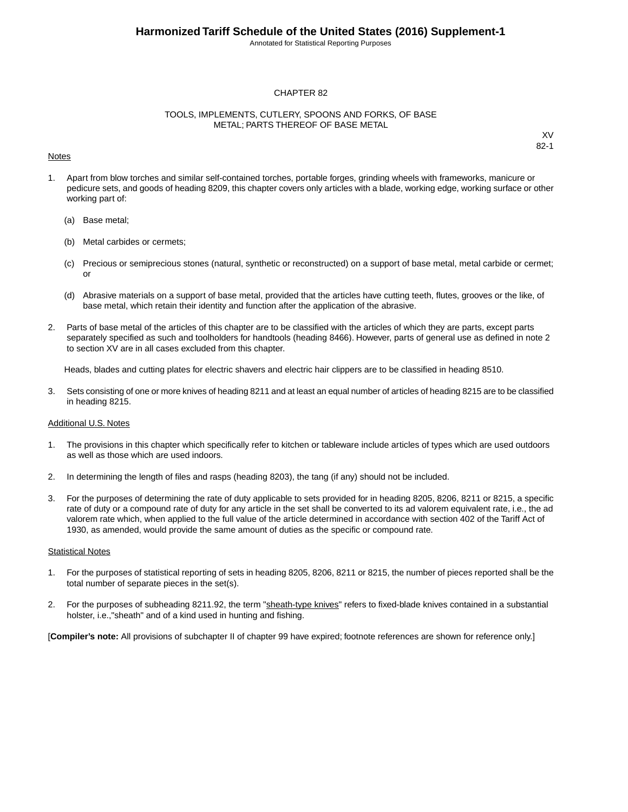Annotated for Statistical Reporting Purposes

#### CHAPTER 82

#### TOOLS, IMPLEMENTS, CUTLERY, SPOONS AND FORKS, OF BASE METAL; PARTS THEREOF OF BASE METAL

#### Notes

XV 82-1

- 1. Apart from blow torches and similar self-contained torches, portable forges, grinding wheels with frameworks, manicure or pedicure sets, and goods of heading 8209, this chapter covers only articles with a blade, working edge, working surface or other working part of:
	- (a) Base metal;
	- (b) Metal carbides or cermets;
	- (c) Precious or semiprecious stones (natural, synthetic or reconstructed) on a support of base metal, metal carbide or cermet; or
	- (d) Abrasive materials on a support of base metal, provided that the articles have cutting teeth, flutes, grooves or the like, of base metal, which retain their identity and function after the application of the abrasive.
- 2. Parts of base metal of the articles of this chapter are to be classified with the articles of which they are parts, except parts separately specified as such and toolholders for handtools (heading 8466). However, parts of general use as defined in note 2 to section XV are in all cases excluded from this chapter.

Heads, blades and cutting plates for electric shavers and electric hair clippers are to be classified in heading 8510.

3. Sets consisting of one or more knives of heading 8211 and at least an equal number of articles of heading 8215 are to be classified in heading 8215.

#### Additional U.S. Notes

- 1. The provisions in this chapter which specifically refer to kitchen or tableware include articles of types which are used outdoors as well as those which are used indoors.
- 2. In determining the length of files and rasps (heading 8203), the tang (if any) should not be included.
- 3. For the purposes of determining the rate of duty applicable to sets provided for in heading 8205, 8206, 8211 or 8215, a specific rate of duty or a compound rate of duty for any article in the set shall be converted to its ad valorem equivalent rate, i.e., the ad valorem rate which, when applied to the full value of the article determined in accordance with section 402 of the Tariff Act of 1930, as amended, would provide the same amount of duties as the specific or compound rate.

#### **Statistical Notes**

- 1. For the purposes of statistical reporting of sets in heading 8205, 8206, 8211 or 8215, the number of pieces reported shall be the total number of separate pieces in the set(s).
- 2. For the purposes of subheading 8211.92, the term "sheath-type knives" refers to fixed-blade knives contained in a substantial holster, i.e.,"sheath" and of a kind used in hunting and fishing.

[**Compiler's note:** All provisions of subchapter II of chapter 99 have expired; footnote references are shown for reference only.]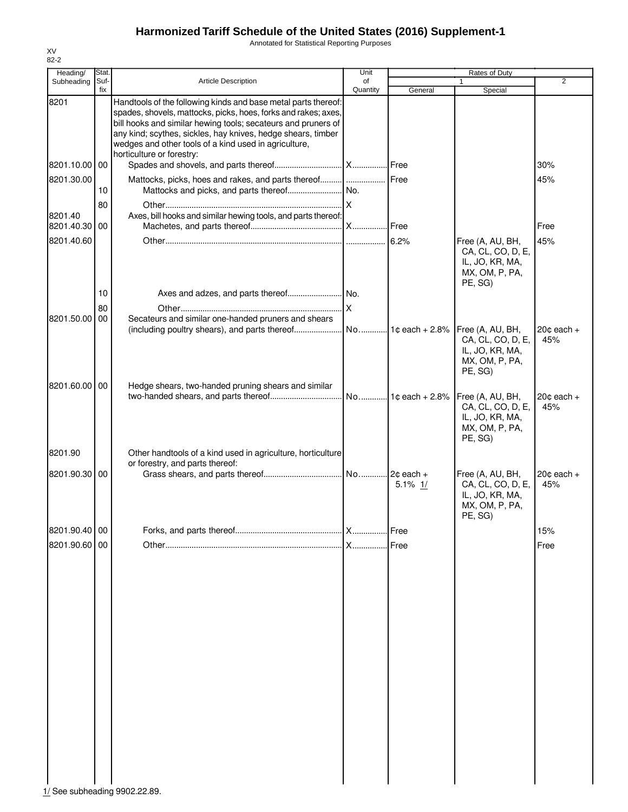Annotated for Statistical Reporting Purposes

| Heading/                 | Stat. |                                                                                                                                                                                                                                                                                                                                                         | Unit      |                   | Rates of Duty                                                                         |                       |
|--------------------------|-------|---------------------------------------------------------------------------------------------------------------------------------------------------------------------------------------------------------------------------------------------------------------------------------------------------------------------------------------------------------|-----------|-------------------|---------------------------------------------------------------------------------------|-----------------------|
| Subheading               | Suf-  | <b>Article Description</b>                                                                                                                                                                                                                                                                                                                              | of        |                   | 1                                                                                     | $\overline{2}$        |
|                          | fix   |                                                                                                                                                                                                                                                                                                                                                         | Quantity  | General           | Special                                                                               |                       |
| 8201                     |       | Handtools of the following kinds and base metal parts thereof:<br>spades, shovels, mattocks, picks, hoes, forks and rakes; axes,<br>bill hooks and similar hewing tools; secateurs and pruners of<br>any kind; scythes, sickles, hay knives, hedge shears, timber<br>wedges and other tools of a kind used in agriculture,<br>horticulture or forestry: |           |                   |                                                                                       |                       |
| 8201.10.00 00            |       |                                                                                                                                                                                                                                                                                                                                                         |           |                   |                                                                                       | 30%                   |
| 8201.30.00               | 10    | Mattocks, picks, hoes and rakes, and parts thereof  Free                                                                                                                                                                                                                                                                                                |           |                   |                                                                                       | 45%                   |
|                          | 80    |                                                                                                                                                                                                                                                                                                                                                         |           |                   |                                                                                       |                       |
| 8201.40<br>8201.40.30 00 |       | Axes, bill hooks and similar hewing tools, and parts thereof:                                                                                                                                                                                                                                                                                           |           |                   |                                                                                       | Free                  |
| 8201.40.60               |       |                                                                                                                                                                                                                                                                                                                                                         |           |                   | Free (A, AU, BH,                                                                      | 45%                   |
|                          | 10    |                                                                                                                                                                                                                                                                                                                                                         |           |                   | CA, CL, CO, D, E,<br>IL, JO, KR, MA,<br>MX, OM, P, PA,<br>PE, SG)                     |                       |
|                          | 80    |                                                                                                                                                                                                                                                                                                                                                         | <u>lx</u> |                   |                                                                                       |                       |
| 8201.50.00               | 00    | Secateurs and similar one-handed pruners and shears                                                                                                                                                                                                                                                                                                     |           |                   |                                                                                       |                       |
|                          |       | (including poultry shears), and parts thereof                                                                                                                                                                                                                                                                                                           |           | No 1c each + 2.8% | Free (A, AU, BH,                                                                      | $20¢$ each +          |
|                          |       |                                                                                                                                                                                                                                                                                                                                                         |           |                   | CA, CL, CO, D, E,<br>IL, JO, KR, MA,<br>MX, OM, P, PA,<br>PE, SG)                     | 45%                   |
| 8201.60.00 00            |       | Hedge shears, two-handed pruning shears and similar                                                                                                                                                                                                                                                                                                     |           |                   |                                                                                       |                       |
|                          |       |                                                                                                                                                                                                                                                                                                                                                         |           |                   | Free (A, AU, BH,<br>CA, CL, CO, D, E,<br>IL, JO, KR, MA,<br>MX, OM, P, PA,<br>PE, SG) | $20¢$ each $+$<br>45% |
| 8201.90                  |       | Other handtools of a kind used in agriculture, horticulture                                                                                                                                                                                                                                                                                             |           |                   |                                                                                       |                       |
| 8201.90.30 00            |       | or forestry, and parts thereof:                                                                                                                                                                                                                                                                                                                         |           | $5.1\%$ 1/        | Free (A, AU, BH,<br>CA, CL, CO, D, E,<br>IL, JO, KR, MA,<br>MX, OM, P, PA,<br>PE, SG) | $20¢$ each +<br>45%   |
| 8201.90.40 00            |       |                                                                                                                                                                                                                                                                                                                                                         |           | Free              |                                                                                       | 15%                   |
| 8201.90.60 00            |       |                                                                                                                                                                                                                                                                                                                                                         | X         | Free              |                                                                                       | Free                  |
|                          |       |                                                                                                                                                                                                                                                                                                                                                         |           |                   |                                                                                       |                       |

XV 82-2

1/ See subheading 9902.22.89.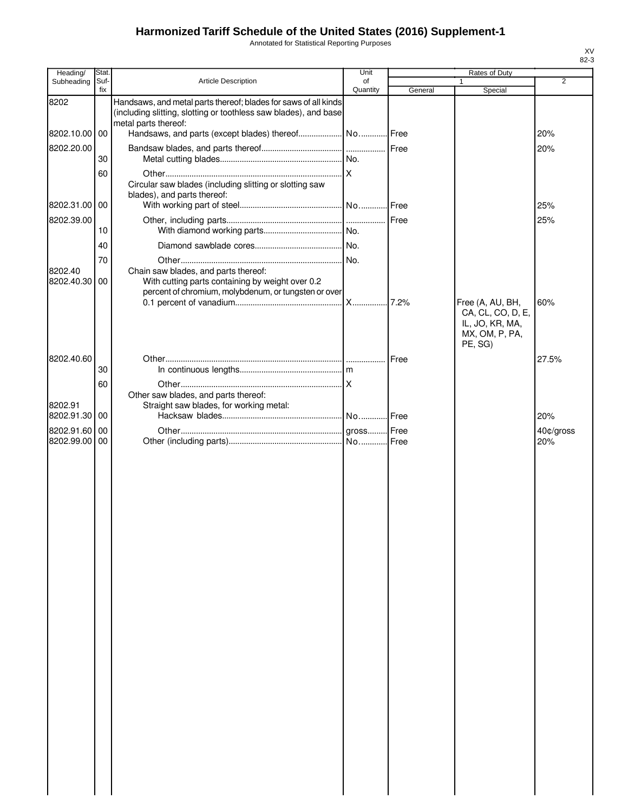Annotated for Statistical Reporting Purposes

| Heading/                       | Stat.       |                                                                                                                                                             | Unit           |         | Rates of Duty                                                     |                  |
|--------------------------------|-------------|-------------------------------------------------------------------------------------------------------------------------------------------------------------|----------------|---------|-------------------------------------------------------------------|------------------|
| Subheading                     | Suf-<br>fix | <b>Article Description</b>                                                                                                                                  | of<br>Quantity | General | Special                                                           | $\overline{2}$   |
| 8202                           |             | Handsaws, and metal parts thereof; blades for saws of all kinds<br>(including slitting, slotting or toothless saw blades), and base<br>metal parts thereof: |                |         |                                                                   |                  |
| 8202.10.00 00                  |             |                                                                                                                                                             |                |         |                                                                   | 20%              |
| 8202.20.00                     |             |                                                                                                                                                             |                |         |                                                                   | 20%              |
|                                | 30          |                                                                                                                                                             |                |         |                                                                   |                  |
|                                | 60          | Circular saw blades (including slitting or slotting saw<br>blades), and parts thereof:                                                                      |                |         |                                                                   |                  |
| 8202.31.00 00                  |             |                                                                                                                                                             |                |         |                                                                   | 25%              |
| 8202.39.00                     | 10          |                                                                                                                                                             |                |         |                                                                   | 25%              |
|                                | 40          |                                                                                                                                                             |                |         |                                                                   |                  |
|                                | 70          |                                                                                                                                                             | No.            |         |                                                                   |                  |
| 8202.40<br>8202.40.30 00       |             | Chain saw blades, and parts thereof:<br>With cutting parts containing by weight over 0.2<br>percent of chromium, molybdenum, or tungsten or over            |                |         |                                                                   |                  |
|                                |             |                                                                                                                                                             |                |         | Free (A, AU, BH,                                                  | 60%              |
|                                |             |                                                                                                                                                             |                |         | CA, CL, CO, D, E,<br>IL, JO, KR, MA,<br>MX, OM, P, PA,<br>PE, SG) |                  |
| 8202.40.60                     |             |                                                                                                                                                             |                | Free    |                                                                   | 27.5%            |
|                                | 30          |                                                                                                                                                             |                |         |                                                                   |                  |
|                                | 60          | Other saw blades, and parts thereof:                                                                                                                        |                |         |                                                                   |                  |
| 8202.91                        |             | Straight saw blades, for working metal:                                                                                                                     |                |         |                                                                   |                  |
| 8202.91.30 00                  |             |                                                                                                                                                             |                |         |                                                                   | 20%              |
| 8202.91.60 00<br>8202.99.00 00 |             |                                                                                                                                                             |                |         |                                                                   | 40¢/gross<br>20% |
|                                |             |                                                                                                                                                             |                |         |                                                                   |                  |
|                                |             |                                                                                                                                                             |                |         |                                                                   |                  |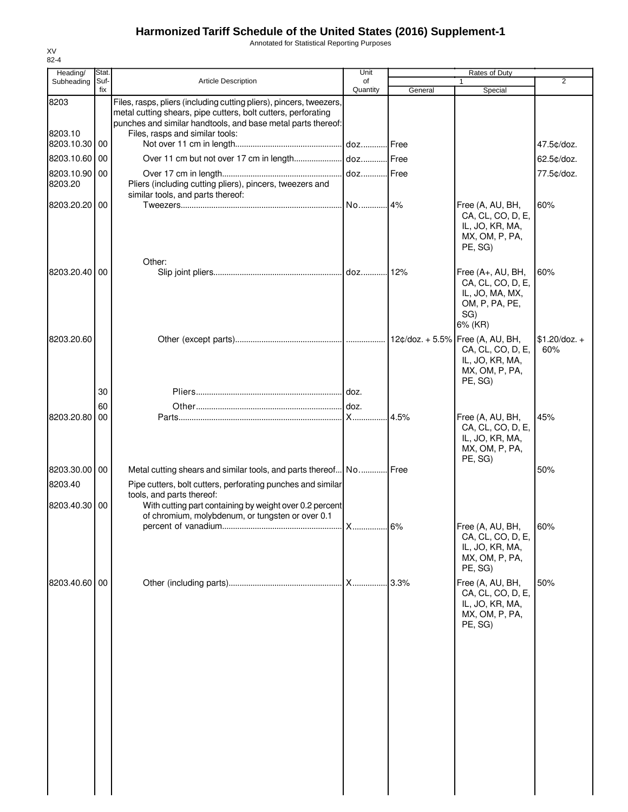Annotated for Statistical Reporting Purposes

| Heading/                 | Stat.       |                                                                                                                                                                                                                                         | Unit           |         | Rates of Duty                                                                         |                        |
|--------------------------|-------------|-----------------------------------------------------------------------------------------------------------------------------------------------------------------------------------------------------------------------------------------|----------------|---------|---------------------------------------------------------------------------------------|------------------------|
| Subheading               | Suf-<br>fix | <b>Article Description</b>                                                                                                                                                                                                              | of<br>Quantity | General | 1<br>Special                                                                          | $\overline{2}$         |
| 8203<br>8203.10          |             | Files, rasps, pliers (including cutting pliers), pincers, tweezers,<br>metal cutting shears, pipe cutters, bolt cutters, perforating<br>punches and similar handtools, and base metal parts thereof:<br>Files, rasps and similar tools: |                |         |                                                                                       |                        |
| 8203.10.30               | 00          |                                                                                                                                                                                                                                         |                |         |                                                                                       | 47.5¢/doz.             |
| 8203.10.60               | 00          |                                                                                                                                                                                                                                         |                |         |                                                                                       | 62.5¢/doz.             |
| 8203.10.90 00<br>8203.20 |             | Pliers (including cutting pliers), pincers, tweezers and<br>similar tools, and parts thereof:                                                                                                                                           |                |         |                                                                                       | 77.5¢/doz.             |
| 8203.20.20 00            |             |                                                                                                                                                                                                                                         |                |         | Free (A, AU, BH,<br>CA, CL, CO, D, E,<br>IL, JO, KR, MA,<br>MX, OM, P, PA,<br>PE, SG) | 60%                    |
| 8203.20.40 00            |             | Other:                                                                                                                                                                                                                                  |                |         | Free (A+, AU, BH,                                                                     | 60%                    |
|                          |             |                                                                                                                                                                                                                                         |                |         | CA, CL, CO, D, E,<br>IL, JO, MA, MX,<br>OM, P, PA, PE,<br>SG)<br>6% (KR)              |                        |
| 8203.20.60               |             |                                                                                                                                                                                                                                         |                |         | CA, CL, CO, D, E,<br>IL, JO, KR, MA,<br>MX, OM, P, PA,<br>PE, SG)                     | $$1.20$ /doz. +<br>60% |
|                          | 30          |                                                                                                                                                                                                                                         |                |         |                                                                                       |                        |
|                          | 60          |                                                                                                                                                                                                                                         |                |         |                                                                                       |                        |
| 8203.20.80               | 00          |                                                                                                                                                                                                                                         |                | 4.5%    | Free (A, AU, BH,<br>CA, CL, CO, D, E,<br>IL, JO, KR, MA,<br>MX, OM, P, PA,<br>PE, SG) | 45%                    |
| 8203.30.00 00            |             | Metal cutting shears and similar tools, and parts thereof No Free                                                                                                                                                                       |                |         |                                                                                       | 50%                    |
| 8203.40                  |             | Pipe cutters, bolt cutters, perforating punches and similar                                                                                                                                                                             |                |         |                                                                                       |                        |
| 8203.40.30 00            |             | tools, and parts thereof:<br>With cutting part containing by weight over 0.2 percent<br>of chromium, molybdenum, or tungsten or over 0.1                                                                                                |                |         |                                                                                       |                        |
|                          |             |                                                                                                                                                                                                                                         |                |         | Free (A, AU, BH,<br>CA, CL, CO, D, E,<br>IL, JO, KR, MA,<br>MX, OM, P, PA,<br>PE, SG) | 60%                    |
| 8203.40.60 00            |             |                                                                                                                                                                                                                                         |                | 3.3%    | Free (A, AU, BH,<br>CA, CL, CO, D, E,<br>IL, JO, KR, MA,<br>MX, OM, P, PA,<br>PE, SG) | 50%                    |
|                          |             |                                                                                                                                                                                                                                         |                |         |                                                                                       |                        |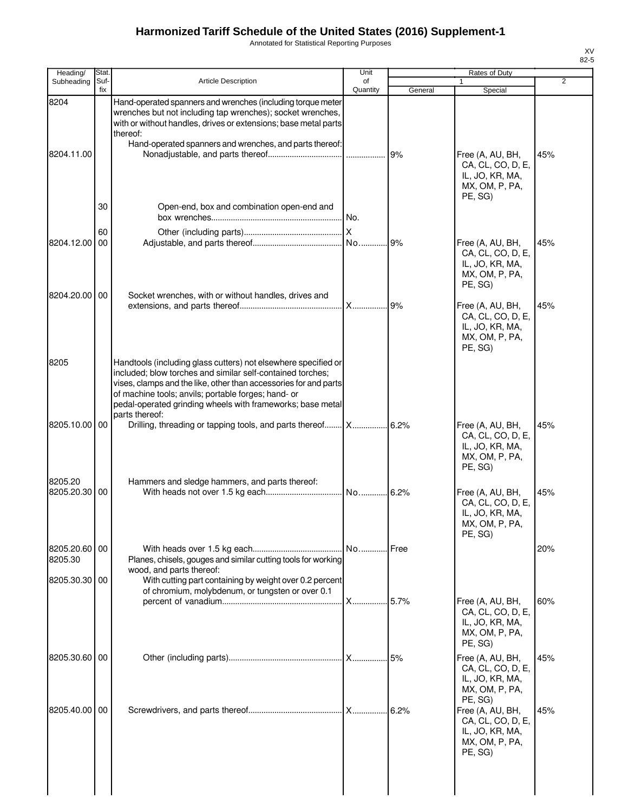Annotated for Statistical Reporting Purposes

| Heading/                 | Stat.       |                                                                                                                                                                                                                                                                                                                                         | Unit           |         | Rates of Duty                                                                                    |     |
|--------------------------|-------------|-----------------------------------------------------------------------------------------------------------------------------------------------------------------------------------------------------------------------------------------------------------------------------------------------------------------------------------------|----------------|---------|--------------------------------------------------------------------------------------------------|-----|
| Subheading               | Suf-<br>fix | <b>Article Description</b>                                                                                                                                                                                                                                                                                                              | of<br>Quantity | General | 1                                                                                                | 2   |
| 8204<br>8204.11.00       |             | Hand-operated spanners and wrenches (including torque meter<br>wrenches but not including tap wrenches); socket wrenches,<br>with or without handles, drives or extensions; base metal parts<br>thereof:<br>Hand-operated spanners and wrenches, and parts thereof:                                                                     |                | 9%      | Special<br>Free (A, AU, BH,<br>CA, CL, CO, D, E,<br>IL, JO, KR, MA,<br>MX, OM, P, PA,<br>PE, SG) | 45% |
|                          | 30<br>60    | Open-end, box and combination open-end and                                                                                                                                                                                                                                                                                              | I No.          |         |                                                                                                  |     |
| 8204.12.00               | 00          |                                                                                                                                                                                                                                                                                                                                         |                | .9%     | Free (A, AU, BH,<br>CA, CL, CO, D, E,<br>IL, JO, KR, MA,<br>MX, OM, P, PA,<br>PE, SG)            | 45% |
| 8204.20.00 00            |             | Socket wrenches, with or without handles, drives and                                                                                                                                                                                                                                                                                    | <b>X</b>       | .9%     | Free (A, AU, BH,<br>CA, CL, CO, D, E,<br>IL, JO, KR, MA,<br>MX, OM, P, PA,<br>PE, SG)            | 45% |
| 8205                     |             | Handtools (including glass cutters) not elsewhere specified or<br>included; blow torches and similar self-contained torches;<br>vises, clamps and the like, other than accessories for and parts<br>of machine tools; anvils; portable forges; hand- or<br>pedal-operated grinding wheels with frameworks; base metal<br>parts thereof: |                |         |                                                                                                  |     |
| 8205.10.00 00            |             | Drilling, threading or tapping tools, and parts thereof X                                                                                                                                                                                                                                                                               |                | 6.2%    | Free (A, AU, BH,<br>CA, CL, CO, D, E,<br>IL, JO, KR, MA,<br>MX, OM, P, PA,<br>PE, SG)            | 45% |
| 8205.20<br>8205.20.30 00 |             | Hammers and sledge hammers, and parts thereof:                                                                                                                                                                                                                                                                                          | No             | .6.2%   | Free (A, AU, BH,<br>CA, CL, CO, D, E,<br>IL, JO, KR, MA,<br>MX, OM, P, PA,<br>PE, SG)            | 45% |
| 8205.20.60 00<br>8205.30 |             | Planes, chisels, gouges and similar cutting tools for working<br>wood, and parts thereof:                                                                                                                                                                                                                                               |                |         |                                                                                                  | 20% |
| 8205.30.30 00            |             | With cutting part containing by weight over 0.2 percent<br>of chromium, molybdenum, or tungsten or over 0.1                                                                                                                                                                                                                             | <b>X</b>       | .5.7%   | Free (A, AU, BH,<br>CA, CL, CO, D, E,<br>IL, JO, KR, MA,<br>MX, OM, P, PA,<br>PE, SG)            | 60% |
| 8205.30.60 00            |             |                                                                                                                                                                                                                                                                                                                                         |                | 5%      | Free (A, AU, BH,<br>CA, CL, CO, D, E,<br>IL, JO, KR, MA,<br>MX, OM, P, PA,                       | 45% |
| 8205.40.00 00            |             |                                                                                                                                                                                                                                                                                                                                         |                | .6.2%   | PE, SG)<br>Free (A, AU, BH,<br>CA, CL, CO, D, E,<br>IL, JO, KR, MA,<br>MX, OM, P, PA,<br>PE, SG) | 45% |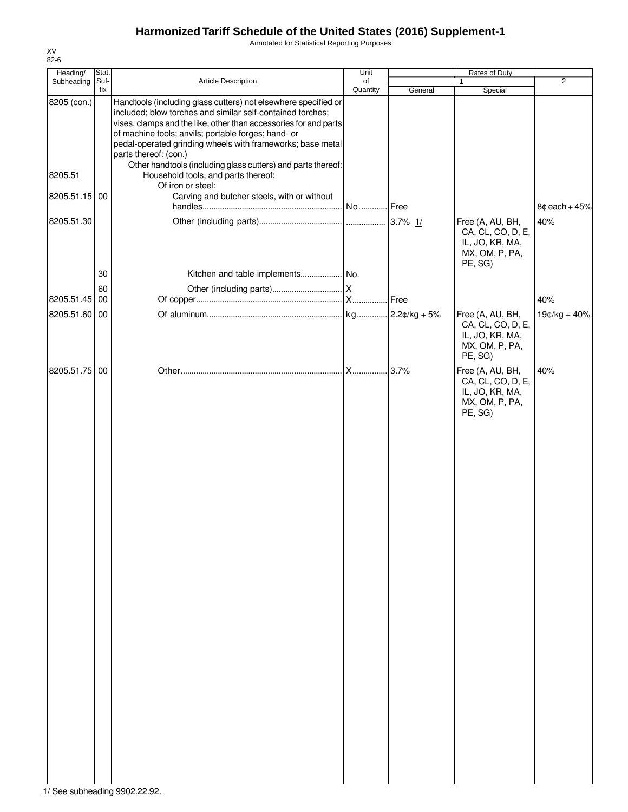Annotated for Statistical Reporting Purposes

| Heading/      | Stat.    |                                                                                                                                                                                                                                                                                                                                                | Unit     |                | Rates of Duty                                                                         |                 |
|---------------|----------|------------------------------------------------------------------------------------------------------------------------------------------------------------------------------------------------------------------------------------------------------------------------------------------------------------------------------------------------|----------|----------------|---------------------------------------------------------------------------------------|-----------------|
| Subheading    | Suf-     | Article Description                                                                                                                                                                                                                                                                                                                            | of       |                | $\mathbf{1}$                                                                          | $\overline{2}$  |
| 8205 (con.)   | fix      | Handtools (including glass cutters) not elsewhere specified or<br>included; blow torches and similar self-contained torches;<br>vises, clamps and the like, other than accessories for and parts<br>of machine tools; anvils; portable forges; hand- or<br>pedal-operated grinding wheels with frameworks; base metal<br>parts thereof: (con.) | Quantity | General        | Special                                                                               |                 |
| 8205.51       |          | Other handtools (including glass cutters) and parts thereof:<br>Household tools, and parts thereof:<br>Of iron or steel:                                                                                                                                                                                                                       |          |                |                                                                                       |                 |
| 8205.51.15 00 |          | Carving and butcher steels, with or without                                                                                                                                                                                                                                                                                                    |          |                |                                                                                       | $8¢$ each + 45% |
| 8205.51.30    |          |                                                                                                                                                                                                                                                                                                                                                |          | 3.7% $1/$      | Free (A, AU, BH,<br>CA, CL, CO, D, E,<br>IL, JO, KR, MA,<br>MX, OM, P, PA,<br>PE, SG) | 40%             |
|               | 30       |                                                                                                                                                                                                                                                                                                                                                |          |                |                                                                                       |                 |
| 8205.51.45    | 60<br>00 |                                                                                                                                                                                                                                                                                                                                                |          |                |                                                                                       | 40%             |
|               |          |                                                                                                                                                                                                                                                                                                                                                |          |                |                                                                                       |                 |
| 8205.51.60    | 00       |                                                                                                                                                                                                                                                                                                                                                |          | $2.2¢/kg + 5%$ | Free (A, AU, BH,<br>CA, CL, CO, D, E,<br>IL, JO, KR, MA,<br>MX, OM, P, PA,<br>PE, SG) | $19¢/kg + 40%$  |
| 8205.51.75    | 00       |                                                                                                                                                                                                                                                                                                                                                |          | .3.7%          | Free (A, AU, BH,<br>CA, CL, CO, D, E,<br>IL, JO, KR, MA,<br>MX, OM, P, PA,<br>PE, SG) | 40%             |

XV 82-6

1/ See subheading 9902.22.92.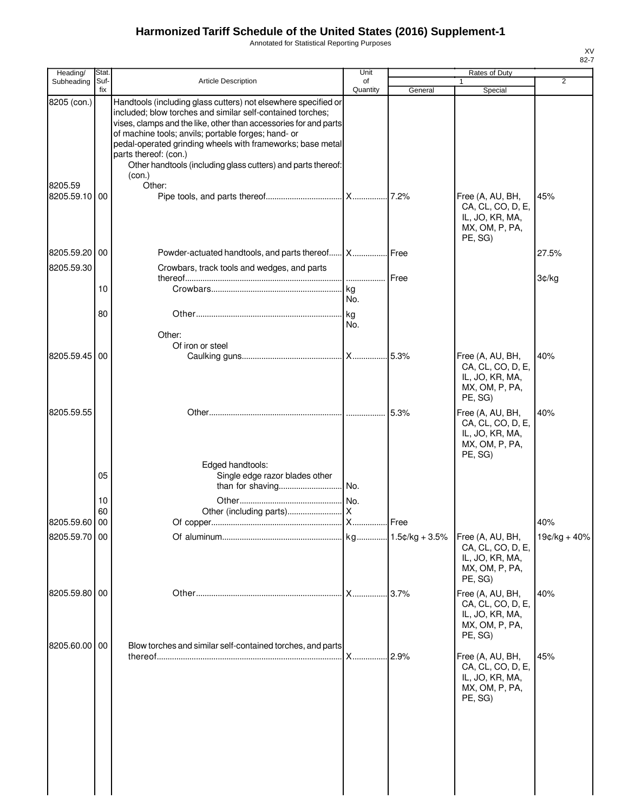Annotated for Statistical Reporting Purposes

| Heading/                       | Stat.       |                                                                                                                                                                                                                                                                                                                                                                                                                          | Unit           |         | Rates of Duty                                                                         |              |
|--------------------------------|-------------|--------------------------------------------------------------------------------------------------------------------------------------------------------------------------------------------------------------------------------------------------------------------------------------------------------------------------------------------------------------------------------------------------------------------------|----------------|---------|---------------------------------------------------------------------------------------|--------------|
| Subheading                     | Suf-<br>fix | <b>Article Description</b>                                                                                                                                                                                                                                                                                                                                                                                               | of<br>Quantity | General | $\mathbf{1}$<br>Special                                                               | 2            |
| 8205 (con.)                    |             | Handtools (including glass cutters) not elsewhere specified or<br>included; blow torches and similar self-contained torches;<br>vises, clamps and the like, other than accessories for and parts<br>of machine tools; anvils; portable forges; hand- or<br>pedal-operated grinding wheels with frameworks; base metal<br>parts thereof: (con.)<br>Other handtools (including glass cutters) and parts thereof:<br>(con.) |                |         |                                                                                       |              |
| 8205.59<br>8205.59.10 00       |             | Other:                                                                                                                                                                                                                                                                                                                                                                                                                   |                |         | Free (A, AU, BH,<br>CA, CL, CO, D, E,<br>IL, JO, KR, MA,<br>MX, OM, P, PA,<br>PE, SG) | 45%          |
| 8205.59.20 00<br>8205.59.30    |             | Powder-actuated handtools, and parts thereof X Free<br>Crowbars, track tools and wedges, and parts                                                                                                                                                                                                                                                                                                                       |                |         |                                                                                       | 27.5%        |
|                                |             |                                                                                                                                                                                                                                                                                                                                                                                                                          |                | Free    |                                                                                       | 3¢/kg        |
|                                | 10          |                                                                                                                                                                                                                                                                                                                                                                                                                          | No.            |         |                                                                                       |              |
|                                | 80          | Other:                                                                                                                                                                                                                                                                                                                                                                                                                   | No.            |         |                                                                                       |              |
| 8205.59.45 00                  |             | Of iron or steel                                                                                                                                                                                                                                                                                                                                                                                                         |                |         | Free (A, AU, BH,<br>CA, CL, CO, D, E,<br>IL, JO, KR, MA,<br>MX, OM, P, PA,<br>PE, SG) | 40%          |
| 8205.59.55                     |             |                                                                                                                                                                                                                                                                                                                                                                                                                          |                | 5.3%    | Free (A, AU, BH,<br>CA, CL, CO, D, E,<br>IL, JO, KR, MA,<br>MX, OM, P, PA,<br>PE, SG) | 40%          |
|                                | 05          | Edged handtools:<br>Single edge razor blades other                                                                                                                                                                                                                                                                                                                                                                       |                |         |                                                                                       |              |
|                                | 10          |                                                                                                                                                                                                                                                                                                                                                                                                                          |                |         |                                                                                       |              |
|                                | 60          |                                                                                                                                                                                                                                                                                                                                                                                                                          |                |         |                                                                                       |              |
| 8205.59.60 00<br>8205.59.70 00 |             |                                                                                                                                                                                                                                                                                                                                                                                                                          | .IX.           | Free    |                                                                                       | 40%          |
|                                |             |                                                                                                                                                                                                                                                                                                                                                                                                                          |                |         | Free (A, AU, BH,<br>CA, CL, CO, D, E,<br>IL, JO, KR, MA,<br>MX, OM, P, PA,<br>PE, SG) | 19¢/kg + 40% |
| 8205.59.80 00                  |             |                                                                                                                                                                                                                                                                                                                                                                                                                          | .IX            |         | Free (A, AU, BH,<br>CA, CL, CO, D, E,<br>IL, JO, KR, MA,<br>MX, OM, P, PA,<br>PE, SG) | 40%          |
| 8205.60.00 00                  |             | Blow torches and similar self-contained torches, and parts                                                                                                                                                                                                                                                                                                                                                               | X              | 2.9%    | Free (A, AU, BH,<br>CA, CL, CO, D, E,<br>IL, JO, KR, MA,<br>MX, OM, P, PA,<br>PE, SG) | 45%          |
|                                |             |                                                                                                                                                                                                                                                                                                                                                                                                                          |                |         |                                                                                       |              |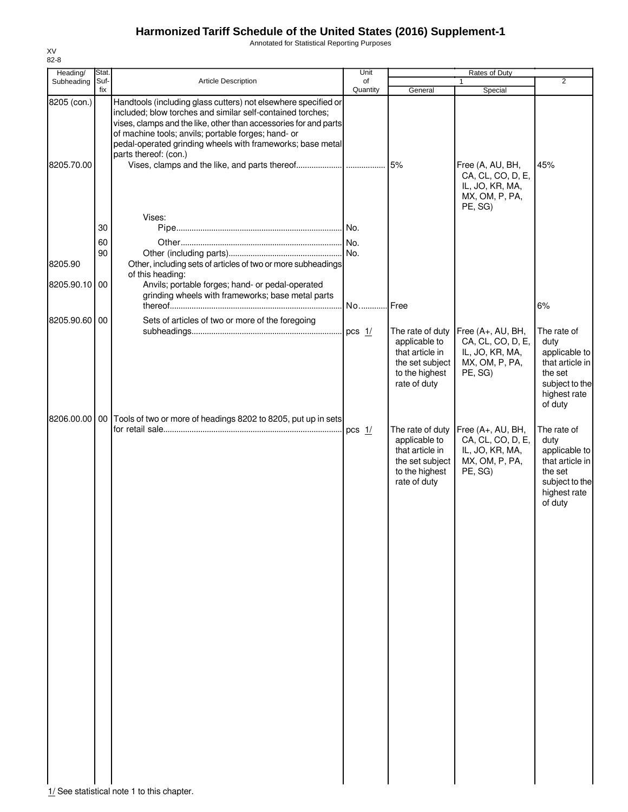Annotated for Statistical Reporting Purposes

| Heading/                  | Stat.       |                                                                                                                                                                                                                                                                                                                                                | Unit           |                                                                                                           | Rates of Duty                                                                          |                                                                                                                 |
|---------------------------|-------------|------------------------------------------------------------------------------------------------------------------------------------------------------------------------------------------------------------------------------------------------------------------------------------------------------------------------------------------------|----------------|-----------------------------------------------------------------------------------------------------------|----------------------------------------------------------------------------------------|-----------------------------------------------------------------------------------------------------------------|
| Subheading                | Suf-<br>fix | Article Description                                                                                                                                                                                                                                                                                                                            | of<br>Quantity | General                                                                                                   | 1<br>Special                                                                           | $\overline{2}$                                                                                                  |
| 8205 (con.)<br>8205.70.00 |             | Handtools (including glass cutters) not elsewhere specified or<br>included; blow torches and similar self-contained torches;<br>vises, clamps and the like, other than accessories for and parts<br>of machine tools; anvils; portable forges; hand- or<br>pedal-operated grinding wheels with frameworks; base metal<br>parts thereof: (con.) |                |                                                                                                           | Free (A, AU, BH,<br>CA, CL, CO, D, E,<br>IL, JO, KR, MA,<br>MX, OM, P, PA,<br>PE, SG)  | 45%                                                                                                             |
|                           |             | Vises:                                                                                                                                                                                                                                                                                                                                         |                |                                                                                                           |                                                                                        |                                                                                                                 |
|                           | 30          |                                                                                                                                                                                                                                                                                                                                                |                |                                                                                                           |                                                                                        |                                                                                                                 |
|                           | 60          |                                                                                                                                                                                                                                                                                                                                                |                |                                                                                                           |                                                                                        |                                                                                                                 |
|                           | 90          |                                                                                                                                                                                                                                                                                                                                                |                |                                                                                                           |                                                                                        |                                                                                                                 |
| 8205.90                   |             | Other, including sets of articles of two or more subheadings                                                                                                                                                                                                                                                                                   |                |                                                                                                           |                                                                                        |                                                                                                                 |
|                           |             | of this heading:                                                                                                                                                                                                                                                                                                                               |                |                                                                                                           |                                                                                        |                                                                                                                 |
| 8205.90.10                | 00          | Anvils; portable forges; hand- or pedal-operated<br>grinding wheels with frameworks; base metal parts                                                                                                                                                                                                                                          | No             | <b>.I</b> Free                                                                                            |                                                                                        | 6%                                                                                                              |
|                           |             |                                                                                                                                                                                                                                                                                                                                                |                |                                                                                                           |                                                                                        |                                                                                                                 |
| 8205.90.60                | 00          | Sets of articles of two or more of the foregoing                                                                                                                                                                                                                                                                                               | pcs $1/$       | The rate of duty<br>applicable to<br>that article in<br>the set subject<br>to the highest<br>rate of duty | Free (A+, AU, BH,<br>CA, CL, CO, D, E,<br>IL, JO, KR, MA,<br>MX, OM, P, PA,<br>PE, SG) | The rate of<br>duty<br>applicable to<br>that article in<br>the set<br>subject to the<br>highest rate<br>of duty |
| 8206.00.00                | 00          | Tools of two or more of headings 8202 to 8205, put up in sets                                                                                                                                                                                                                                                                                  | pcs $1/$       | The rate of duty<br>applicable to<br>that article in<br>the set subject<br>to the highest<br>rate of duty | Free (A+, AU, BH,<br>CA, CL, CO, D, E,<br>IL, JO, KR, MA,<br>MX, OM, P, PA,<br>PE, SG) | The rate of<br>duty<br>applicable to<br>that article in<br>the set<br>subject to the<br>highest rate<br>of duty |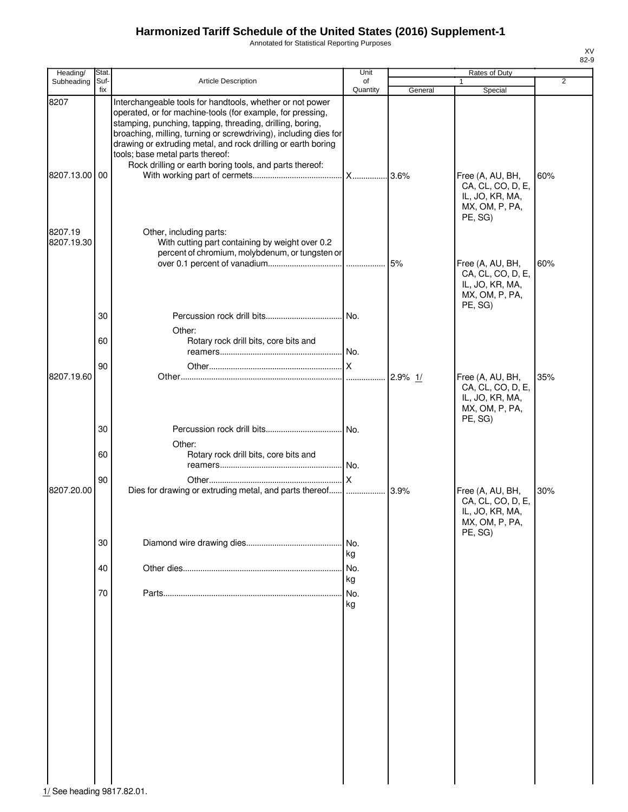Annotated for Statistical Reporting Purposes

| Heading/              | Stat.       |                                                                                                                                                                                                                                                                                                                                                               | Unit           |         | Rates of Duty                                                                         |                |
|-----------------------|-------------|---------------------------------------------------------------------------------------------------------------------------------------------------------------------------------------------------------------------------------------------------------------------------------------------------------------------------------------------------------------|----------------|---------|---------------------------------------------------------------------------------------|----------------|
| Subheading            | Suf-<br>fix | Article Description                                                                                                                                                                                                                                                                                                                                           | of<br>Quantity | General | 1<br>Special                                                                          | $\overline{2}$ |
| 8207                  |             | Interchangeable tools for handtools, whether or not power<br>operated, or for machine-tools (for example, for pressing,<br>stamping, punching, tapping, threading, drilling, boring,<br>broaching, milling, turning or screwdriving), including dies for<br>drawing or extruding metal, and rock drilling or earth boring<br>tools; base metal parts thereof: |                |         |                                                                                       |                |
| 8207.13.00 00         |             | Rock drilling or earth boring tools, and parts thereof:                                                                                                                                                                                                                                                                                                       |                | .3.6%   | Free (A, AU, BH,<br>CA, CL, CO, D, E,<br>IL, JO, KR, MA,<br>MX, OM, P, PA,<br>PE, SG) | 60%            |
| 8207.19<br>8207.19.30 |             | Other, including parts:<br>With cutting part containing by weight over 0.2<br>percent of chromium, molybdenum, or tungsten or                                                                                                                                                                                                                                 |                | 5%      | Free (A, AU, BH,<br>CA, CL, CO, D, E,<br>IL, JO, KR, MA,<br>MX, OM, P, PA,<br>PE, SG) | 60%            |
|                       | 30<br>60    | Other:<br>Rotary rock drill bits, core bits and                                                                                                                                                                                                                                                                                                               | No.<br>No.     |         |                                                                                       |                |
| 8207.19.60            | 90          |                                                                                                                                                                                                                                                                                                                                                               | ΙX<br>.        | 2.9% 1/ | Free (A, AU, BH,<br>CA, CL, CO, D, E,<br>IL, JO, KR, MA,<br>MX, OM, P, PA,<br>PE, SG) | 35%            |
|                       | 30<br>60    | Other:<br>Rotary rock drill bits, core bits and                                                                                                                                                                                                                                                                                                               | No.            |         |                                                                                       |                |
| 8207.20.00            | 90          | Dies for drawing or extruding metal, and parts thereof                                                                                                                                                                                                                                                                                                        | No.<br>.lx     | 3.9%    | Free (A, AU, BH,<br>CA, CL, CO, D, E,                                                 | 30%            |
|                       | 30          |                                                                                                                                                                                                                                                                                                                                                               | No.<br>kg      |         | IL, JO, KR, MA,<br>MX, OM, P, PA,<br>PE, SG)                                          |                |
|                       | 40          |                                                                                                                                                                                                                                                                                                                                                               | No.<br>kg      |         |                                                                                       |                |
|                       | 70          |                                                                                                                                                                                                                                                                                                                                                               | No.<br>kg      |         |                                                                                       |                |

1/ See heading 9817.82.01.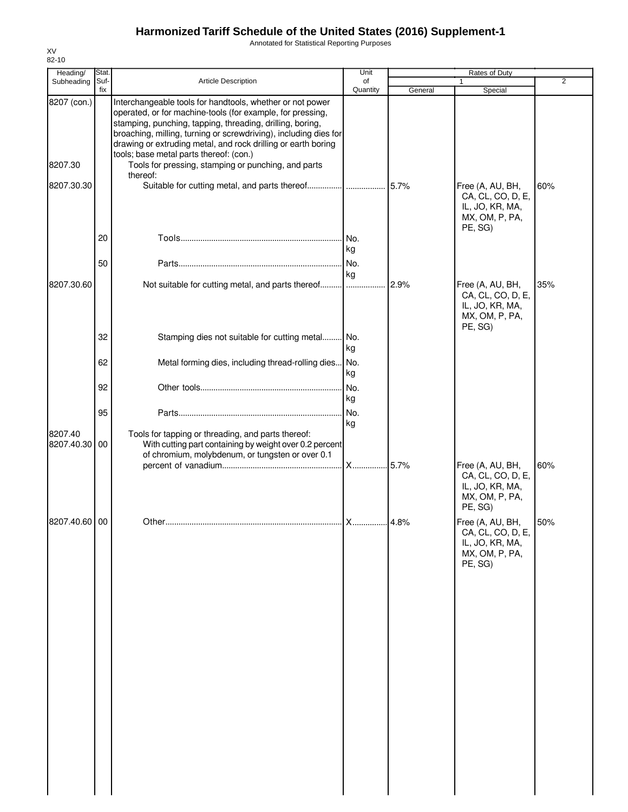Annotated for Statistical Reporting Purposes

| Heading/                 | Stat.       |                                                                                                                                                                                                                                                                                                                                                                      | Unit                    |         | Rates of Duty                                                                         |                |
|--------------------------|-------------|----------------------------------------------------------------------------------------------------------------------------------------------------------------------------------------------------------------------------------------------------------------------------------------------------------------------------------------------------------------------|-------------------------|---------|---------------------------------------------------------------------------------------|----------------|
| Subheading               | Suf-<br>fix | Article Description                                                                                                                                                                                                                                                                                                                                                  | of<br>Quantity          |         | 1                                                                                     | $\overline{2}$ |
| 8207 (con.)              |             | Interchangeable tools for handtools, whether or not power<br>operated, or for machine-tools (for example, for pressing,<br>stamping, punching, tapping, threading, drilling, boring,<br>broaching, milling, turning or screwdriving), including dies for<br>drawing or extruding metal, and rock drilling or earth boring<br>tools; base metal parts thereof: (con.) |                         | General | Special                                                                               |                |
| 8207.30                  |             | Tools for pressing, stamping or punching, and parts<br>thereof:                                                                                                                                                                                                                                                                                                      |                         |         |                                                                                       |                |
| 8207.30.30               |             |                                                                                                                                                                                                                                                                                                                                                                      |                         |         | Free (A, AU, BH,<br>CA, CL, CO, D, E,<br>IL, JO, KR, MA,<br>MX, OM, P, PA,<br>PE, SG) | 60%            |
|                          | 20          |                                                                                                                                                                                                                                                                                                                                                                      | I No.<br>kg             |         |                                                                                       |                |
|                          | 50          |                                                                                                                                                                                                                                                                                                                                                                      | kg                      |         |                                                                                       |                |
| 8207.30.60               |             | Not suitable for cutting metal, and parts thereof                                                                                                                                                                                                                                                                                                                    |                         | 2.9%    | Free (A, AU, BH,<br>CA, CL, CO, D, E,<br>IL, JO, KR, MA,<br>MX, OM, P, PA,<br>PE, SG) | 35%            |
|                          | 32          | Stamping dies not suitable for cutting metal                                                                                                                                                                                                                                                                                                                         | . No.<br>kg             |         |                                                                                       |                |
|                          | 62          | Metal forming dies, including thread-rolling dies No.                                                                                                                                                                                                                                                                                                                | kg                      |         |                                                                                       |                |
|                          | 92          |                                                                                                                                                                                                                                                                                                                                                                      | No.<br>kg               |         |                                                                                       |                |
|                          | 95          |                                                                                                                                                                                                                                                                                                                                                                      | No.<br>kg               |         |                                                                                       |                |
| 8207.40<br>8207.40.30 00 |             | Tools for tapping or threading, and parts thereof:<br>With cutting part containing by weight over 0.2 percent<br>of chromium, molybdenum, or tungsten or over 0.1                                                                                                                                                                                                    | <b>X</b>                | 5.7%    | Free (A, AU, BH,                                                                      | 60%            |
|                          |             |                                                                                                                                                                                                                                                                                                                                                                      |                         |         | CA, CL, CO, D, E,<br>IL, JO, KR, MA,<br>MX, OM, P, PA,<br>PE, SG)                     |                |
| 8207.40.60 00            |             | Other                                                                                                                                                                                                                                                                                                                                                                | $\overline{\mathsf{x}}$ | 4.8%    | Free (A, AU, BH,<br>CA, CL, CO, D, E,<br>IL, JO, KR, MA,<br>MX, OM, P, PA,<br>PE, SG) | 50%            |
|                          |             |                                                                                                                                                                                                                                                                                                                                                                      |                         |         |                                                                                       |                |
|                          |             |                                                                                                                                                                                                                                                                                                                                                                      |                         |         |                                                                                       |                |
|                          |             |                                                                                                                                                                                                                                                                                                                                                                      |                         |         |                                                                                       |                |
|                          |             |                                                                                                                                                                                                                                                                                                                                                                      |                         |         |                                                                                       |                |
|                          |             |                                                                                                                                                                                                                                                                                                                                                                      |                         |         |                                                                                       |                |
|                          |             |                                                                                                                                                                                                                                                                                                                                                                      |                         |         |                                                                                       |                |
|                          |             |                                                                                                                                                                                                                                                                                                                                                                      |                         |         |                                                                                       |                |
|                          |             |                                                                                                                                                                                                                                                                                                                                                                      |                         |         |                                                                                       |                |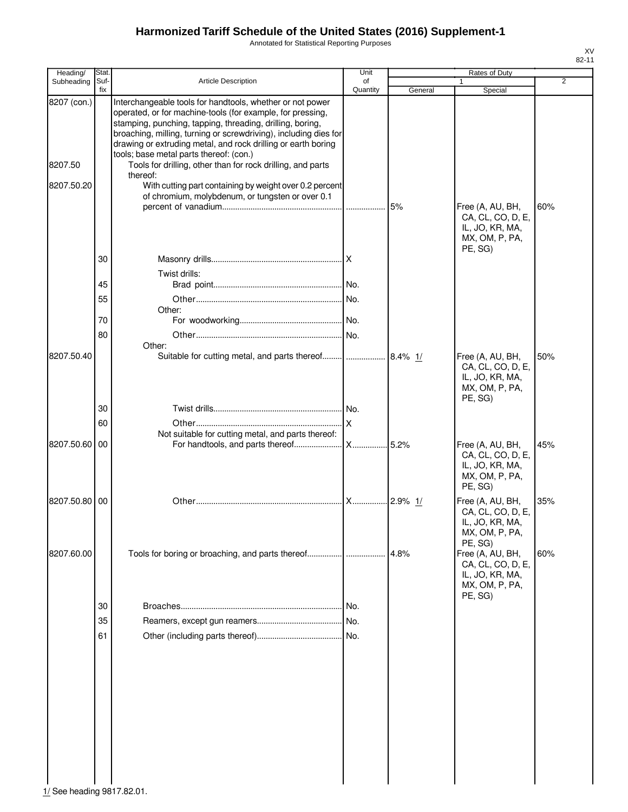Annotated for Statistical Reporting Purposes

| Heading/      | Stat.       |                                                                                                                                                                                                                                                                                                                           | Unit           |             | Rates of Duty                                                                         |     |
|---------------|-------------|---------------------------------------------------------------------------------------------------------------------------------------------------------------------------------------------------------------------------------------------------------------------------------------------------------------------------|----------------|-------------|---------------------------------------------------------------------------------------|-----|
| Subheading    | Suf-<br>fix | <b>Article Description</b>                                                                                                                                                                                                                                                                                                | of<br>Quantity | General     | 1<br>Special                                                                          | 2   |
| 8207 (con.)   |             | Interchangeable tools for handtools, whether or not power<br>operated, or for machine-tools (for example, for pressing,<br>stamping, punching, tapping, threading, drilling, boring,<br>broaching, milling, turning or screwdriving), including dies for<br>drawing or extruding metal, and rock drilling or earth boring |                |             |                                                                                       |     |
| 8207.50       |             | tools; base metal parts thereof: (con.)<br>Tools for drilling, other than for rock drilling, and parts<br>thereof:                                                                                                                                                                                                        |                |             |                                                                                       |     |
| 8207.50.20    |             | With cutting part containing by weight over 0.2 percent<br>of chromium, molybdenum, or tungsten or over 0.1                                                                                                                                                                                                               | .              | 5%          | Free (A, AU, BH,<br>CA, CL, CO, D, E,<br>IL, JO, KR, MA,<br>MX, OM, P, PA,            | 60% |
|               | 30          |                                                                                                                                                                                                                                                                                                                           |                |             | PE, SG)                                                                               |     |
|               |             | Twist drills:                                                                                                                                                                                                                                                                                                             |                |             |                                                                                       |     |
|               | 45          |                                                                                                                                                                                                                                                                                                                           |                |             |                                                                                       |     |
|               | 55          | Other:                                                                                                                                                                                                                                                                                                                    |                |             |                                                                                       |     |
|               | 70          |                                                                                                                                                                                                                                                                                                                           |                |             |                                                                                       |     |
|               | 80          |                                                                                                                                                                                                                                                                                                                           |                |             |                                                                                       |     |
| 8207.50.40    |             | Other:<br>Suitable for cutting metal, and parts thereof                                                                                                                                                                                                                                                                   |                | $8.4\%$ 1/  | Free (A, AU, BH,<br>CA, CL, CO, D, E,<br>IL, JO, KR, MA,                              | 50% |
|               |             |                                                                                                                                                                                                                                                                                                                           |                |             | MX, OM, P, PA,<br>PE, SG)                                                             |     |
|               | 30          |                                                                                                                                                                                                                                                                                                                           |                |             |                                                                                       |     |
|               | 60          |                                                                                                                                                                                                                                                                                                                           | X              |             |                                                                                       |     |
| 8207.50.60 00 |             | Not suitable for cutting metal, and parts thereof:                                                                                                                                                                                                                                                                        |                | 5.2%        | Free (A, AU, BH,<br>CA, CL, CO, D, E,<br>IL, JO, KR, MA,<br>MX, OM, P, PA,<br>PE, SG) | 45% |
| 8207.50.80 00 |             |                                                                                                                                                                                                                                                                                                                           | <b>X</b>       | $.2.9\%$ 1/ | Free (A, AU, BH,<br>CA, CL, CO, D, E,<br>IL, JO, KR, MA,<br>MX, OM, P, PA,<br>PE, SG) | 35% |
| 8207.60.00    |             |                                                                                                                                                                                                                                                                                                                           |                | 4.8%        | Free (A, AU, BH,<br>CA, CL, CO, D, E,<br>IL, JO, KR, MA,<br>MX, OM, P, PA,<br>PE, SG) | 60% |
|               | 30          |                                                                                                                                                                                                                                                                                                                           |                |             |                                                                                       |     |
|               | 35          |                                                                                                                                                                                                                                                                                                                           |                |             |                                                                                       |     |
|               | 61          |                                                                                                                                                                                                                                                                                                                           |                |             |                                                                                       |     |
|               |             |                                                                                                                                                                                                                                                                                                                           |                |             |                                                                                       |     |

1/ See heading 9817.82.01.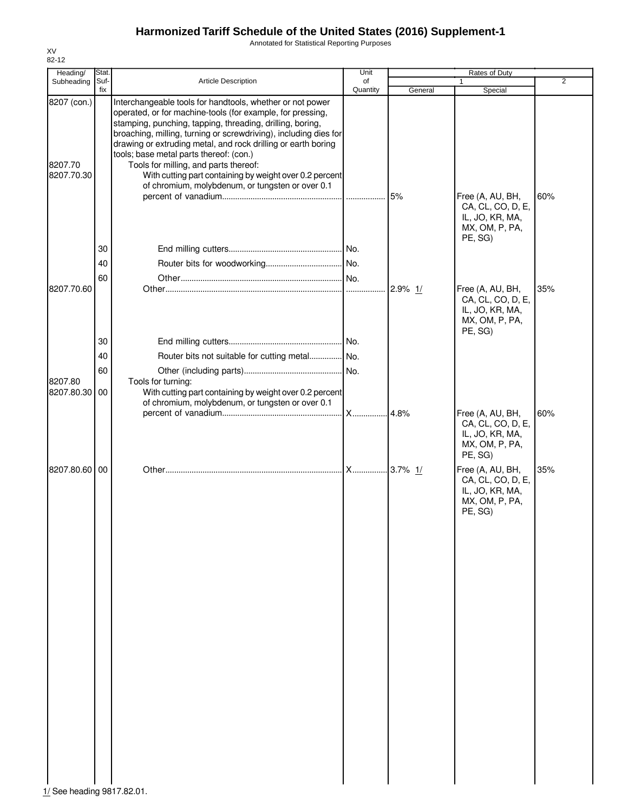Annotated for Statistical Reporting Purposes

| Heading/                             | Stat.       |                                                                                                                                                                                                                                                                                                                                                                                                                                                                          | Unit           |            | Rates of Duty                                                                         |                |
|--------------------------------------|-------------|--------------------------------------------------------------------------------------------------------------------------------------------------------------------------------------------------------------------------------------------------------------------------------------------------------------------------------------------------------------------------------------------------------------------------------------------------------------------------|----------------|------------|---------------------------------------------------------------------------------------|----------------|
| Subheading                           | Suf-<br>fix | Article Description                                                                                                                                                                                                                                                                                                                                                                                                                                                      | of<br>Quantity | General    | $\mathbf{1}$<br>Special                                                               | $\overline{2}$ |
| 8207 (con.)<br>8207.70<br>8207.70.30 |             | Interchangeable tools for handtools, whether or not power<br>operated, or for machine-tools (for example, for pressing,<br>stamping, punching, tapping, threading, drilling, boring,<br>broaching, milling, turning or screwdriving), including dies for<br>drawing or extruding metal, and rock drilling or earth boring<br>tools; base metal parts thereof: (con.)<br>Tools for milling, and parts thereof:<br>With cutting part containing by weight over 0.2 percent |                |            |                                                                                       |                |
|                                      | 30          | of chromium, molybdenum, or tungsten or over 0.1                                                                                                                                                                                                                                                                                                                                                                                                                         |                | 5%         | Free (A, AU, BH,<br>CA, CL, CO, D, E,<br>IL, JO, KR, MA,<br>MX, OM, P, PA,<br>PE, SG) | 60%            |
|                                      | 40          |                                                                                                                                                                                                                                                                                                                                                                                                                                                                          |                |            |                                                                                       |                |
|                                      | 60          |                                                                                                                                                                                                                                                                                                                                                                                                                                                                          |                |            |                                                                                       |                |
| 8207.70.60                           |             |                                                                                                                                                                                                                                                                                                                                                                                                                                                                          |                | $2.9\%$ 1/ | Free (A, AU, BH,<br>CA, CL, CO, D, E,<br>IL, JO, KR, MA,<br>MX, OM, P, PA,<br>PE, SG) | 35%            |
|                                      | 30          |                                                                                                                                                                                                                                                                                                                                                                                                                                                                          |                |            |                                                                                       |                |
|                                      | 40          | Router bits not suitable for cutting metal No.                                                                                                                                                                                                                                                                                                                                                                                                                           |                |            |                                                                                       |                |
|                                      | 60          |                                                                                                                                                                                                                                                                                                                                                                                                                                                                          |                |            |                                                                                       |                |
| 8207.80<br>8207.80.30 00             |             | Tools for turning:<br>With cutting part containing by weight over 0.2 percent<br>of chromium, molybdenum, or tungsten or over 0.1                                                                                                                                                                                                                                                                                                                                        |                |            |                                                                                       |                |
|                                      |             |                                                                                                                                                                                                                                                                                                                                                                                                                                                                          | <b>X</b>       | 4.8%       | Free (A, AU, BH,<br>CA, CL, CO, D, E,<br>IL, JO, KR, MA,<br>MX, OM, P, PA,<br>PE, SG) | 60%            |
| 8207.80.60 00                        |             |                                                                                                                                                                                                                                                                                                                                                                                                                                                                          |                |            | Free (A, AU, BH,<br>CA, CL, CO, D, E,<br>IL, JO, KR, MA,<br>MX, OM, P, PA,<br>PE, SG) | 35%            |
| 1/ See heading 9817.82.01.           |             |                                                                                                                                                                                                                                                                                                                                                                                                                                                                          |                |            |                                                                                       |                |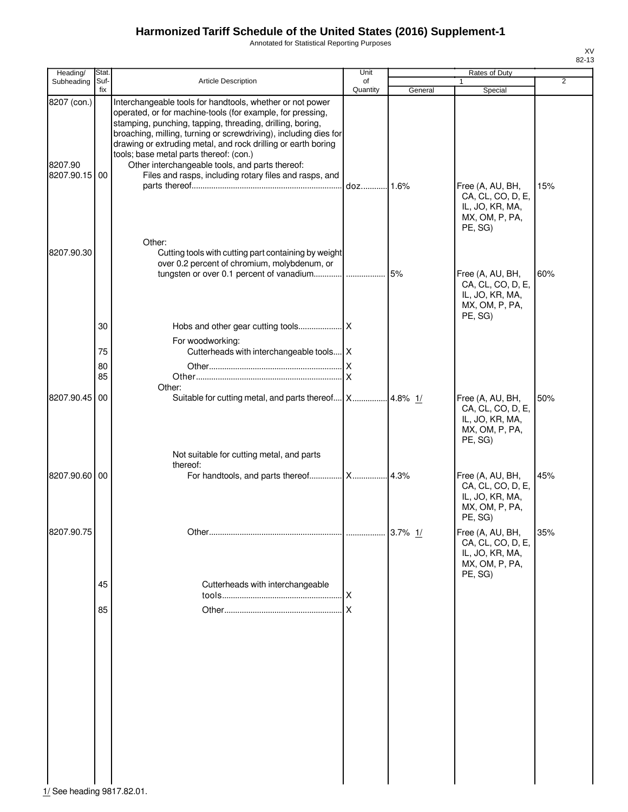Annotated for Statistical Reporting Purposes

| Heading/                                | Stat.                |                                                                                                                                                                                                                                                                                                                                                                                                                                                                                   | Unit           |           | Rates of Duty                                                                         |     |
|-----------------------------------------|----------------------|-----------------------------------------------------------------------------------------------------------------------------------------------------------------------------------------------------------------------------------------------------------------------------------------------------------------------------------------------------------------------------------------------------------------------------------------------------------------------------------|----------------|-----------|---------------------------------------------------------------------------------------|-----|
| Subheading                              | Suf-<br>fix          | Article Description                                                                                                                                                                                                                                                                                                                                                                                                                                                               | of<br>Quantity | General   | $\mathbf{1}$<br>Special                                                               | 2   |
| 8207 (con.)<br>8207.90<br>8207.90.15 00 |                      | Interchangeable tools for handtools, whether or not power<br>operated, or for machine-tools (for example, for pressing,<br>stamping, punching, tapping, threading, drilling, boring,<br>broaching, milling, turning or screwdriving), including dies for<br>drawing or extruding metal, and rock drilling or earth boring<br>tools; base metal parts thereof: (con.)<br>Other interchangeable tools, and parts thereof:<br>Files and rasps, including rotary files and rasps, and | doz 1.6%       |           | Free (A, AU, BH,<br>CA, CL, CO, D, E,<br>IL, JO, KR, MA,<br>MX, OM, P, PA,<br>PE, SG) | 15% |
| 8207.90.30                              |                      | Other:<br>Cutting tools with cutting part containing by weight<br>over 0.2 percent of chromium, molybdenum, or                                                                                                                                                                                                                                                                                                                                                                    |                |           | Free (A, AU, BH,<br>CA, CL, CO, D, E,<br>IL, JO, KR, MA,<br>MX, OM, P, PA,<br>PE, SG) | 60% |
|                                         | 30<br>75<br>80<br>85 | For woodworking:<br>Cutterheads with interchangeable tools   X<br>Other:                                                                                                                                                                                                                                                                                                                                                                                                          | ΙX             |           |                                                                                       |     |
| 8207.90.45 00                           |                      | Suitable for cutting metal, and parts thereof   X   4.8% 1/<br>Not suitable for cutting metal, and parts                                                                                                                                                                                                                                                                                                                                                                          |                |           | Free (A, AU, BH,<br>CA, CL, CO, D, E,<br>IL, JO, KR, MA,<br>MX, OM, P, PA,<br>PE, SG) | 50% |
| 8207.90.60 00                           |                      | thereof:                                                                                                                                                                                                                                                                                                                                                                                                                                                                          |                |           | Free (A, AU, BH,<br>CA, CL, CO, D, E,<br>IL, JO, KR, MA,<br>MX, OM, P, PA,<br>PE, SG) | 45% |
| 8207.90.75                              | 45<br>85             | Cutterheads with interchangeable                                                                                                                                                                                                                                                                                                                                                                                                                                                  | X              | 3.7% $1/$ | Free (A, AU, BH,<br>CA, CL, CO, D, E,<br>IL, JO, KR, MA,<br>MX, OM, P, PA,<br>PE, SG) | 35% |

**1 1**<br> $\frac{1}{2}$  See heading 9817.82.01.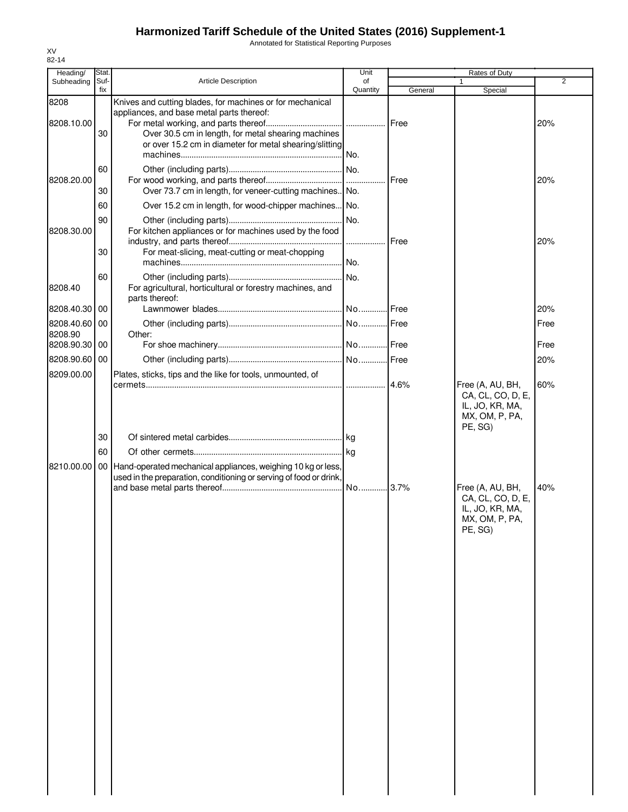Annotated for Statistical Reporting Purposes

| Heading/              | Stat. |                                                                    | Unit     |             | Rates of Duty                         |                |
|-----------------------|-------|--------------------------------------------------------------------|----------|-------------|---------------------------------------|----------------|
| Subheading            | Suf-  | <b>Article Description</b>                                         | of       |             |                                       | $\overline{2}$ |
| 8208                  | fix   | Knives and cutting blades, for machines or for mechanical          | Quantity | General     | Special                               |                |
|                       |       | appliances, and base metal parts thereof:                          |          |             |                                       |                |
| 8208.10.00            | 30    | Over 30.5 cm in length, for metal shearing machines                |          |             |                                       | 20%            |
|                       |       | or over 15.2 cm in diameter for metal shearing/slitting            |          |             |                                       |                |
|                       |       |                                                                    |          |             |                                       |                |
|                       | 60    |                                                                    |          |             |                                       |                |
| 8208.20.00            |       |                                                                    |          | <b>Free</b> |                                       | 20%            |
|                       | 30    | Over 73.7 cm in length, for veneer-cutting machines. No.           |          |             |                                       |                |
|                       | 60    | Over 15.2 cm in length, for wood-chipper machines No.              |          |             |                                       |                |
|                       | 90    |                                                                    |          |             |                                       |                |
| 8208.30.00            |       | For kitchen appliances or for machines used by the food            |          |             |                                       |                |
|                       |       |                                                                    |          | Free        |                                       | 20%            |
|                       | 30    | For meat-slicing, meat-cutting or meat-chopping                    |          |             |                                       |                |
|                       |       |                                                                    | No.      |             |                                       |                |
|                       | 60    |                                                                    |          |             |                                       |                |
| 8208.40               |       | For agricultural, horticultural or forestry machines, and          |          |             |                                       |                |
|                       |       | parts thereof:                                                     |          |             |                                       |                |
| 8208.40.30            | 00    |                                                                    |          |             |                                       | 20%            |
| 8208.40.60            | 00    |                                                                    |          |             |                                       | Free           |
| 8208.90<br>8208.90.30 | 00    | Other:                                                             |          |             |                                       | Free           |
|                       |       |                                                                    |          |             |                                       |                |
| 8208.90.60            | 00    |                                                                    |          |             |                                       | 20%            |
| 8209.00.00            |       | Plates, sticks, tips and the like for tools, unmounted, of         |          |             |                                       |                |
|                       |       |                                                                    |          |             | Free (A, AU, BH,<br>CA, CL, CO, D, E, | 60%            |
|                       |       |                                                                    |          |             | IL, JO, KR, MA,                       |                |
|                       |       |                                                                    |          |             | MX, OM, P, PA,                        |                |
|                       |       |                                                                    |          |             | PE, SG)                               |                |
|                       | 30    |                                                                    |          |             |                                       |                |
|                       | 60    |                                                                    |          |             |                                       |                |
| 8210.00.00            |       | 00 Hand-operated mechanical appliances, weighing 10 kg or less,    |          |             |                                       |                |
|                       |       | used in the preparation, conditioning or serving of food or drink, |          |             |                                       |                |
|                       |       |                                                                    | No 3.7%  |             | Free (A, AU, BH,                      | 40%            |
|                       |       |                                                                    |          |             | CA, CL, CO, D, E,                     |                |
|                       |       |                                                                    |          |             | IL, JO, KR, MA,<br>MX, OM, P, PA,     |                |
|                       |       |                                                                    |          |             | PE, SG)                               |                |
|                       |       |                                                                    |          |             |                                       |                |
|                       |       |                                                                    |          |             |                                       |                |
|                       |       |                                                                    |          |             |                                       |                |
|                       |       |                                                                    |          |             |                                       |                |
|                       |       |                                                                    |          |             |                                       |                |
|                       |       |                                                                    |          |             |                                       |                |
|                       |       |                                                                    |          |             |                                       |                |
|                       |       |                                                                    |          |             |                                       |                |
|                       |       |                                                                    |          |             |                                       |                |
|                       |       |                                                                    |          |             |                                       |                |
|                       |       |                                                                    |          |             |                                       |                |
|                       |       |                                                                    |          |             |                                       |                |
|                       |       |                                                                    |          |             |                                       |                |
|                       |       |                                                                    |          |             |                                       |                |
|                       |       |                                                                    |          |             |                                       |                |
|                       |       |                                                                    |          |             |                                       |                |
|                       |       |                                                                    |          |             |                                       |                |
|                       |       |                                                                    |          |             |                                       |                |
|                       |       |                                                                    |          |             |                                       |                |
|                       |       |                                                                    |          |             |                                       |                |
|                       |       |                                                                    |          |             |                                       |                |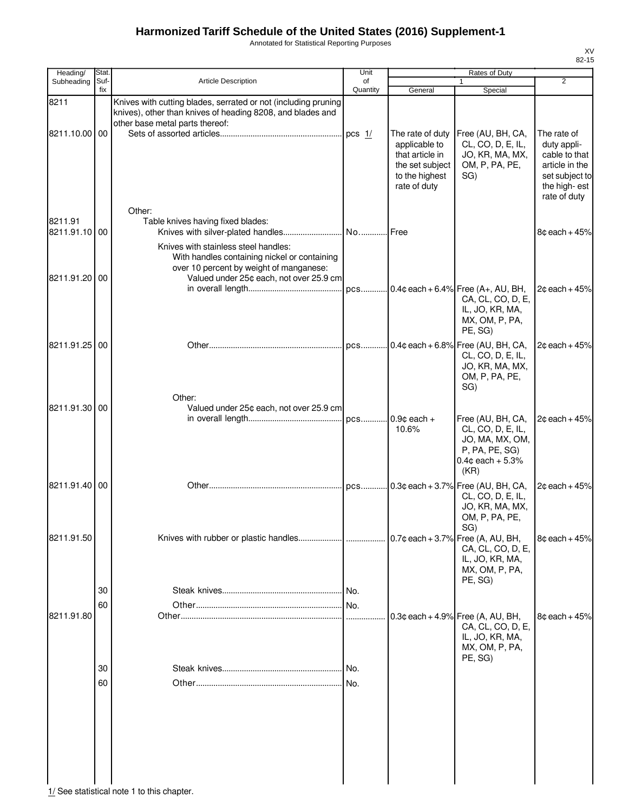Annotated for Statistical Reporting Purposes

| Heading/                 | Stat.       |                                                                                                                                                                            | Unit           | Rates of Duty                                                                                             |                                                                                                           |                                                                                                                 |
|--------------------------|-------------|----------------------------------------------------------------------------------------------------------------------------------------------------------------------------|----------------|-----------------------------------------------------------------------------------------------------------|-----------------------------------------------------------------------------------------------------------|-----------------------------------------------------------------------------------------------------------------|
| Subheading               | Suf-<br>fix | <b>Article Description</b>                                                                                                                                                 | of<br>Quantity | General                                                                                                   | $\mathbf{1}$<br>Special                                                                                   | $\overline{2}$                                                                                                  |
| 8211                     |             | Knives with cutting blades, serrated or not (including pruning<br>knives), other than knives of heading 8208, and blades and<br>other base metal parts thereof:            |                |                                                                                                           |                                                                                                           |                                                                                                                 |
| 8211.10.00 00            |             |                                                                                                                                                                            |                | The rate of duty<br>applicable to<br>that article in<br>the set subject<br>to the highest<br>rate of duty | Free (AU, BH, CA,<br>CL, CO, D, E, IL,<br>JO, KR, MA, MX,<br>OM, P, PA, PE,<br>SG)                        | The rate of<br>duty appli-<br>cable to that<br>article in the<br>set subject to<br>the high-est<br>rate of duty |
| 8211.91<br>8211.91.10 00 |             | Other:<br>Table knives having fixed blades:                                                                                                                                |                |                                                                                                           |                                                                                                           | $8¢$ each + 45%                                                                                                 |
| 8211.91.20 00            |             | Knives with stainless steel handles:<br>With handles containing nickel or containing<br>over 10 percent by weight of manganese:<br>Valued under 25¢ each, not over 25.9 cm |                |                                                                                                           | pcs 0.4¢ each + 6.4% Free (A+, AU, BH,                                                                    | $2¢$ each + 45%                                                                                                 |
|                          |             |                                                                                                                                                                            |                |                                                                                                           | CA, CL, CO, D, E,<br>IL, JO, KR, MA,<br>MX, OM, P, PA,<br>PE, SG)                                         |                                                                                                                 |
| 8211.91.25 00            |             |                                                                                                                                                                            |                |                                                                                                           | CL, CO, D, E, IL,<br>JO, KR, MA, MX,<br>OM, P, PA, PE,<br>SG)                                             | $2c$ each + 45%                                                                                                 |
| 8211.91.30 00            |             | Other:<br>Valued under 25¢ each, not over 25.9 cm                                                                                                                          |                | 10.6%                                                                                                     | Free (AU, BH, CA,<br>CL, CO, D, E, IL,                                                                    | $2¢$ each + 45%                                                                                                 |
|                          |             |                                                                                                                                                                            |                |                                                                                                           | JO, MA, MX, OM,<br>P, PA, PE, SG)<br>$0.4$ ¢ each + 5.3%<br>(KR)                                          |                                                                                                                 |
| 8211.91.40 00            |             |                                                                                                                                                                            |                |                                                                                                           | CL, CO, D, E, IL,<br>JO, KR, MA, MX,<br>OM, P, PA, PE,                                                    | $2¢$ each + 45%                                                                                                 |
| 8211.91.50               |             |                                                                                                                                                                            |                |                                                                                                           | SG)<br>CA, CL, CO, D, E,<br>IL, JO, KR, MA,<br>MX, OM, P, PA,<br>PE, SG)                                  | $8¢$ each + 45%                                                                                                 |
|                          | 30          |                                                                                                                                                                            |                |                                                                                                           |                                                                                                           |                                                                                                                 |
|                          | 60          |                                                                                                                                                                            |                |                                                                                                           |                                                                                                           |                                                                                                                 |
| 8211.91.80               |             |                                                                                                                                                                            |                |                                                                                                           | $0.3$ ¢ each + 4.9% Free (A, AU, BH,<br>CA, CL, CO, D, E,<br>IL, JO, KR, MA,<br>MX, OM, P, PA,<br>PE, SG) | $8¢$ each + 45%                                                                                                 |
|                          | 30          |                                                                                                                                                                            |                |                                                                                                           |                                                                                                           |                                                                                                                 |
|                          | 60          |                                                                                                                                                                            |                |                                                                                                           |                                                                                                           |                                                                                                                 |
|                          |             |                                                                                                                                                                            |                |                                                                                                           |                                                                                                           |                                                                                                                 |
|                          |             |                                                                                                                                                                            |                |                                                                                                           |                                                                                                           |                                                                                                                 |

 $\frac{1}{1}$  See statistical note 1 to this chapter.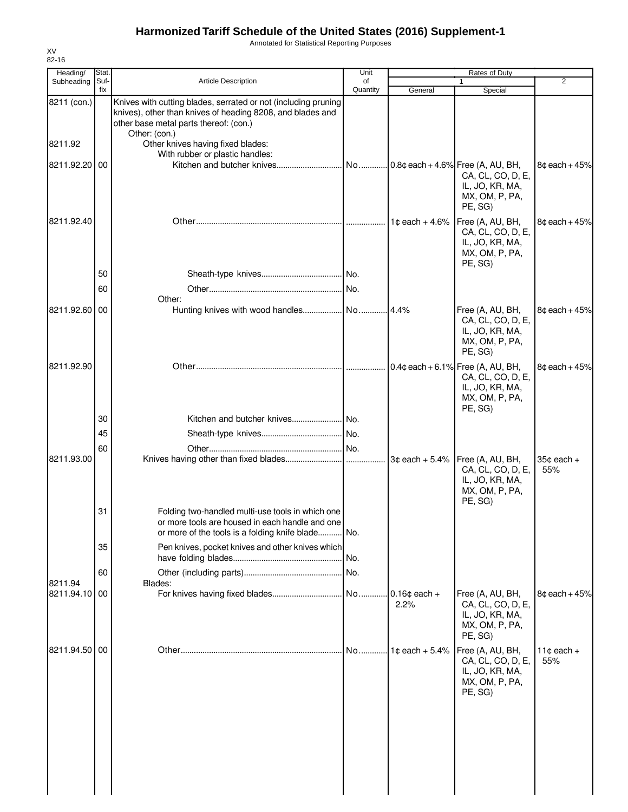Annotated for Statistical Reporting Purposes

| Heading/                 | Stat.       |                                                                                                                                                                                         | Unit           |                            | Rates of Duty                                                                                             |                            |
|--------------------------|-------------|-----------------------------------------------------------------------------------------------------------------------------------------------------------------------------------------|----------------|----------------------------|-----------------------------------------------------------------------------------------------------------|----------------------------|
| Subheading               | Suf-<br>fix | <b>Article Description</b>                                                                                                                                                              | of<br>Quantity | General                    | $\mathbf{1}$<br>Special                                                                                   | 2                          |
| 8211 (con.)              |             | Knives with cutting blades, serrated or not (including pruning<br>knives), other than knives of heading 8208, and blades and<br>other base metal parts thereof: (con.)<br>Other: (con.) |                |                            |                                                                                                           |                            |
| 8211.92                  |             | Other knives having fixed blades:<br>With rubber or plastic handles:                                                                                                                    |                |                            |                                                                                                           |                            |
| 8211.92.20               | 00          |                                                                                                                                                                                         |                |                            | CA, CL, CO, D, E,<br>IL, JO, KR, MA,<br>MX, OM, P, PA,<br>PE, SG)                                         | $8¢$ each + 45%            |
| 8211.92.40               |             |                                                                                                                                                                                         |                | 1 $\texttt{c}$ each + 4.6% | Free (A, AU, BH,<br>CA, CL, CO, D, E,<br>IL, JO, KR, MA,<br>MX, OM, P, PA,<br>PE, SG)                     | $8¢$ each + 45%            |
|                          | 50          |                                                                                                                                                                                         |                |                            |                                                                                                           |                            |
|                          | 60          |                                                                                                                                                                                         |                |                            |                                                                                                           |                            |
| 8211.92.60 00            |             | Other:<br>Hunting knives with wood handles No 4.4%                                                                                                                                      |                |                            | Free (A, AU, BH,<br>CA, CL, CO, D, E,<br>IL, JO, KR, MA,<br>MX, OM, P, PA,<br>PE, SG)                     | $8c$ each + $45%$          |
| 8211.92.90               |             |                                                                                                                                                                                         |                |                            | $0.4$ ¢ each + 6.1% Free (A, AU, BH,<br>CA, CL, CO, D, E,<br>IL, JO, KR, MA,<br>MX, OM, P, PA,<br>PE, SG) | $8¢$ each + 45%            |
|                          | 30          |                                                                                                                                                                                         |                |                            |                                                                                                           |                            |
|                          | 45          |                                                                                                                                                                                         |                |                            |                                                                                                           |                            |
| 8211.93.00               | 60          |                                                                                                                                                                                         |                |                            | 3¢ each + 5.4%   Free (A, AU, BH,<br>CA, CL, CO, D, E,<br>IL, JO, KR, MA,<br>MX, OM, P, PA,<br>PE, SG)    | $35¢$ each $+$<br>55%      |
|                          | 31          | Folding two-handled multi-use tools in which one<br>or more tools are housed in each handle and one<br>or more of the tools is a folding knife blade No.                                |                |                            |                                                                                                           |                            |
|                          | 35          | Pen knives, pocket knives and other knives which                                                                                                                                        | No.            |                            |                                                                                                           |                            |
|                          | 60          |                                                                                                                                                                                         |                |                            |                                                                                                           |                            |
| 8211.94<br>8211.94.10 00 |             | Blades:                                                                                                                                                                                 |                | $0.16¢$ each +<br>2.2%     | Free (A, AU, BH,<br>CA, CL, CO, D, E,<br>IL, JO, KR, MA,<br>MX, OM, P, PA,                                | $8¢$ each + 45%            |
| 8211.94.50 00            |             |                                                                                                                                                                                         | No             | $1¢$ each + 5.4%           | PE, SG)<br>Free (A, AU, BH,<br>CA, CL, CO, D, E,<br>IL, JO, KR, MA,<br>MX, OM, P, PA,<br>PE, SG)          | 11 $\circ$ each $+$<br>55% |
|                          |             |                                                                                                                                                                                         |                |                            |                                                                                                           |                            |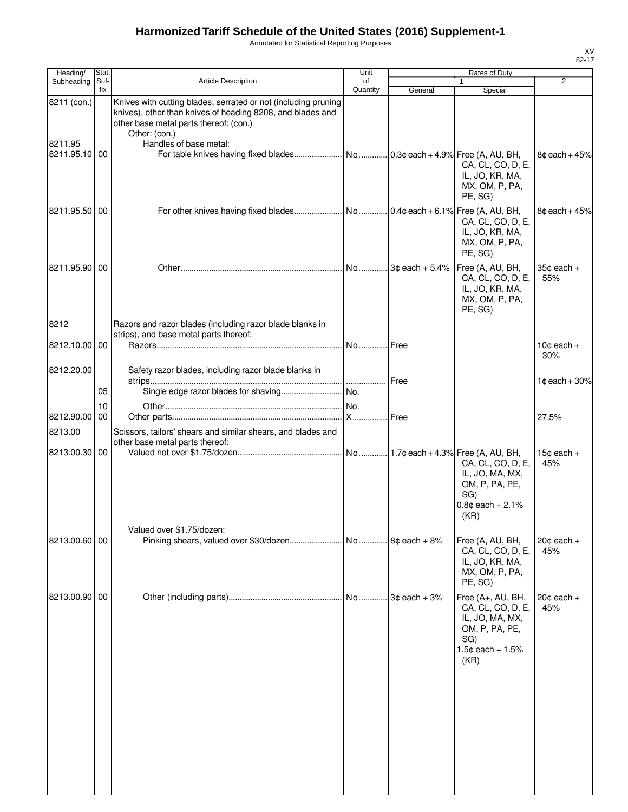Annotated for Statistical Reporting Purposes

| Heading/                                | Stat.       |                                                                                                                                                                                                                   | Unit           | <b>Rates of Duty</b> |                                                                                                                    |                               |
|-----------------------------------------|-------------|-------------------------------------------------------------------------------------------------------------------------------------------------------------------------------------------------------------------|----------------|----------------------|--------------------------------------------------------------------------------------------------------------------|-------------------------------|
| Subheading                              | Suf-<br>fix | Article Description                                                                                                                                                                                               | of<br>Quantity | General              | $\mathbf{1}$<br>Special                                                                                            | 2                             |
| 8211 (con.)<br>8211.95<br>8211.95.10 00 |             | Knives with cutting blades, serrated or not (including pruning<br>knives), other than knives of heading 8208, and blades and<br>other base metal parts thereof: (con.)<br>Other: (con.)<br>Handles of base metal: |                |                      | CA, CL, CO, D, E,<br>IL, JO, KR, MA,<br>MX, OM, P, PA,<br>PE, SG)                                                  | 8¢ each + 45%                 |
| 8211.95.50 00                           |             |                                                                                                                                                                                                                   |                |                      | CA, CL, CO, D, E,<br>IL, JO, KR, MA,<br>MX, OM, P, PA,<br>PE, SG)                                                  | $8¢$ each + $45%$             |
| 8211.95.90100                           |             |                                                                                                                                                                                                                   |                |                      | Free (A, AU, BH,<br>CA, CL, CO, D, E,<br>IL, JO, KR, MA,<br>MX, OM, P, PA,<br>PE, SG)                              | 35¢ each +<br>55%             |
| 8212                                    |             | Razors and razor blades (including razor blade blanks in<br>strips), and base metal parts thereof:                                                                                                                |                |                      |                                                                                                                    |                               |
| 8212.10.00 00                           |             |                                                                                                                                                                                                                   | No Free        |                      |                                                                                                                    | 10 $\texttt{c}$ each +<br>30% |
| 8212.20.00                              | 05          | Safety razor blades, including razor blade blanks in                                                                                                                                                              |                | Free                 |                                                                                                                    | 1 $\texttt{c}$ each + 30%     |
|                                         | 10          |                                                                                                                                                                                                                   |                |                      |                                                                                                                    |                               |
| 8212.90.00 00                           |             |                                                                                                                                                                                                                   |                | <b>Free</b>          |                                                                                                                    | 27.5%                         |
| 8213.00                                 |             | Scissors, tailors' shears and similar shears, and blades and                                                                                                                                                      |                |                      |                                                                                                                    |                               |
| 8213.00.30 00                           |             | other base metal parts thereof:                                                                                                                                                                                   |                |                      | CA, CL, CO, D, E,<br>IL, JO, MA, MX,<br>OM, P, PA, PE,<br>SG)<br>$0.8c$ each + 2.1%<br>(KR)                        | 15 $\texttt{c}$ each +<br>45% |
| 8213.00.60 00                           |             | Valued over \$1.75/dozen:                                                                                                                                                                                         |                |                      | Free (A, AU, BH,<br>CA, CL, CO, D, E,<br>IL, JO, KR, MA,<br>MX, OM, P, PA,<br>PE, SG)                              | $20$ ¢ each $+$<br>45%        |
| 8213.00.90 00                           |             |                                                                                                                                                                                                                   |                |                      | Free (A+, AU, BH,<br>CA, CL, CO, D, E,<br>IL, JO, MA, MX,<br>OM, P, PA, PE,<br>SG)<br>$1.5¢$ each + $1.5%$<br>(KR) | $20¢$ each $+$<br>45%         |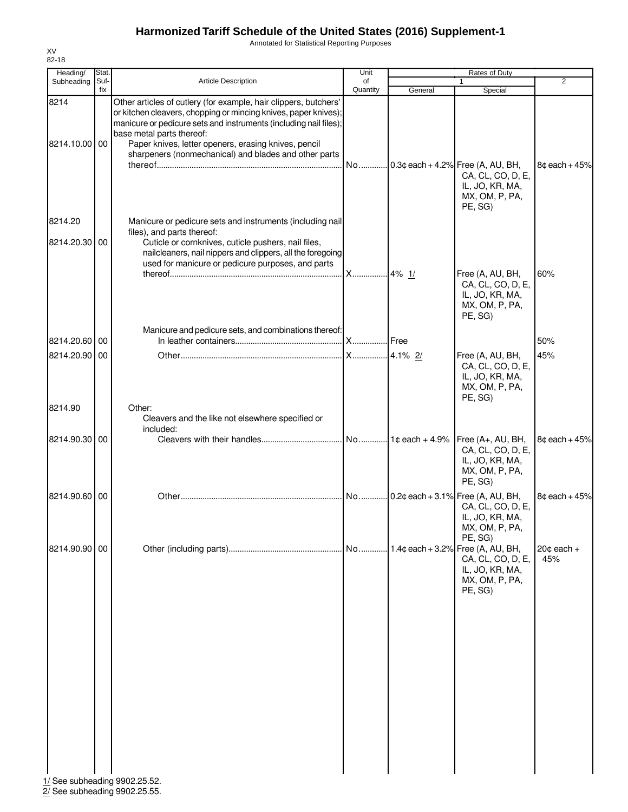Annotated for Statistical Reporting Purposes

| Heading/                      | Stat.       |                                                                                                                                                                                                                                                                                                                                                        | Unit           |         | Rates of Duty                                                                                             |                       |
|-------------------------------|-------------|--------------------------------------------------------------------------------------------------------------------------------------------------------------------------------------------------------------------------------------------------------------------------------------------------------------------------------------------------------|----------------|---------|-----------------------------------------------------------------------------------------------------------|-----------------------|
| Subheading                    | Suf-<br>fix | <b>Article Description</b>                                                                                                                                                                                                                                                                                                                             | of<br>Quantity | General | 1<br>Special                                                                                              | $\overline{2}$        |
| 8214<br>8214.10.00 00         |             | Other articles of cutlery (for example, hair clippers, butchers'<br>or kitchen cleavers, chopping or mincing knives, paper knives);<br>manicure or pedicure sets and instruments (including nail files);<br>base metal parts thereof:<br>Paper knives, letter openers, erasing knives, pencil<br>sharpeners (nonmechanical) and blades and other parts |                |         | No 0.3¢ each + 4.2% Free (A, AU, BH,<br>CA, CL, CO, D, E,<br>IL, JO, KR, MA,<br>MX, OM, P, PA,<br>PE, SG) | $8¢$ each + 45%       |
| 8214.20                       |             | Manicure or pedicure sets and instruments (including nail                                                                                                                                                                                                                                                                                              |                |         |                                                                                                           |                       |
| 8214.20.30 00                 |             | files), and parts thereof:<br>Cuticle or cornknives, cuticle pushers, nail files,<br>nailcleaners, nail nippers and clippers, all the foregoing<br>used for manicure or pedicure purposes, and parts                                                                                                                                                   |                |         | Free (A, AU, BH,                                                                                          | 60%                   |
|                               |             |                                                                                                                                                                                                                                                                                                                                                        |                |         | CA, CL, CO, D, E,<br>IL, JO, KR, MA,<br>MX, OM, P, PA,<br>PE, SG)                                         |                       |
| 8214.20.60 00                 |             | Manicure and pedicure sets, and combinations thereof:                                                                                                                                                                                                                                                                                                  |                |         |                                                                                                           | 50%                   |
| 8214.20.90 00                 |             |                                                                                                                                                                                                                                                                                                                                                        | <b>X</b>       | 4.1% 2/ | Free (A, AU, BH,<br>CA, CL, CO, D, E,<br>IL, JO, KR, MA,<br>MX, OM, P, PA,<br>PE, SG)                     | 45%                   |
| 8214.90                       |             | Other:<br>Cleavers and the like not elsewhere specified or<br>included:                                                                                                                                                                                                                                                                                |                |         |                                                                                                           |                       |
| 8214.90.30 00                 |             |                                                                                                                                                                                                                                                                                                                                                        |                |         | Free (A+, AU, BH,<br>CA, CL, CO, D, E,<br>IL, JO, KR, MA,<br>MX, OM, P, PA,<br>PE, SG)                    | $8¢$ each + 45%       |
| 8214.90.60 00                 |             |                                                                                                                                                                                                                                                                                                                                                        |                |         | No 0.2¢ each + 3.1% Free (A, AU, BH,<br>CA, CL, CO, D, E,<br>IL, JO, KR, MA,<br>MX, OM, P, PA,<br>PE, SG) | 8¢ each + 45%         |
| 8214.90.90 00                 |             |                                                                                                                                                                                                                                                                                                                                                        | No             |         | 1.4¢ each + 3.2% Free (A, AU, BH,<br>CA, CL, CO, D, E,<br>IL, JO, KR, MA,<br>MX, OM, P, PA,<br>PE, SG)    | $20¢$ each $+$<br>45% |
| 1/ See subheading 9902.25.52. |             |                                                                                                                                                                                                                                                                                                                                                        |                |         |                                                                                                           |                       |

2/ See subheading 9902.25.55.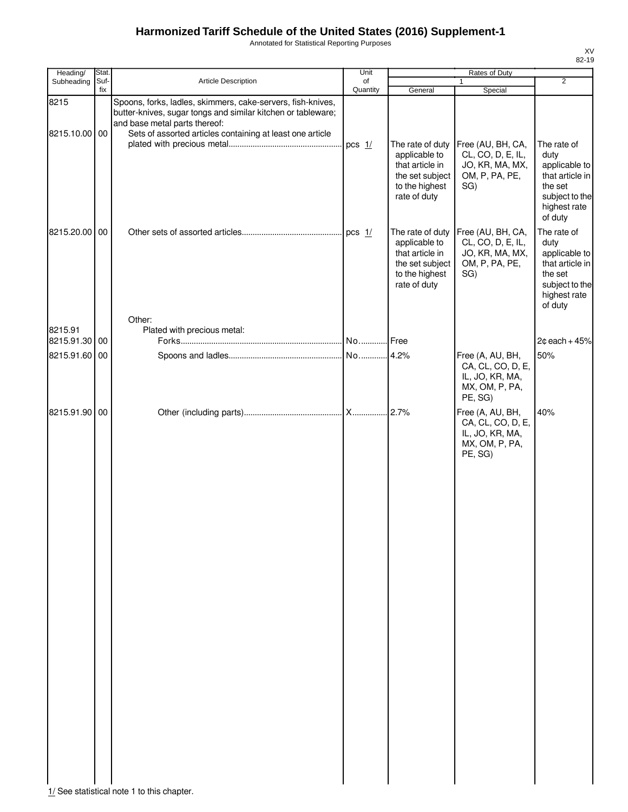Annotated for Statistical Reporting Purposes

| Heading/                 | Stat.       |                                                                                                                                                                                                                           | Unit           |                                                                                                           | Rates of Duty                                                                         |                                                                                                                 |
|--------------------------|-------------|---------------------------------------------------------------------------------------------------------------------------------------------------------------------------------------------------------------------------|----------------|-----------------------------------------------------------------------------------------------------------|---------------------------------------------------------------------------------------|-----------------------------------------------------------------------------------------------------------------|
| Subheading               | Suf-<br>fix | Article Description                                                                                                                                                                                                       | of<br>Quantity | General                                                                                                   | $\mathbf{1}$<br>Special                                                               | $\overline{2}$                                                                                                  |
| 8215<br>8215.10.00 00    |             | Spoons, forks, ladles, skimmers, cake-servers, fish-knives,<br>butter-knives, sugar tongs and similar kitchen or tableware;<br>and base metal parts thereof:<br>Sets of assorted articles containing at least one article | pcs $1/$       |                                                                                                           | The rate of duty Free (AU, BH, CA,                                                    | The rate of                                                                                                     |
|                          |             |                                                                                                                                                                                                                           |                | applicable to<br>that article in<br>the set subject<br>to the highest<br>rate of duty                     | CL, CO, D, E, IL,<br>JO, KR, MA, MX,<br>OM, P, PA, PE,<br>SG)                         | duty<br>applicable to<br>that article in<br>the set<br>subject to the<br>highest rate<br>of duty                |
| 8215.20.00 00            |             |                                                                                                                                                                                                                           |                | The rate of duty<br>applicable to<br>that article in<br>the set subject<br>to the highest<br>rate of duty | Free (AU, BH, CA,<br>CL, CO, D, E, IL,<br>JO, KR, MA, MX,<br>OM, P, PA, PE,<br>SG)    | The rate of<br>duty<br>applicable to<br>that article in<br>the set<br>subject to the<br>highest rate<br>of duty |
|                          |             | Other:                                                                                                                                                                                                                    |                |                                                                                                           |                                                                                       |                                                                                                                 |
| 8215.91<br>8215.91.30 00 |             | Plated with precious metal:                                                                                                                                                                                               |                |                                                                                                           |                                                                                       | $2¢$ each + 45%                                                                                                 |
| 8215.91.60 00            |             |                                                                                                                                                                                                                           |                |                                                                                                           | Free (A, AU, BH,<br>CA, CL, CO, D, E,<br>IL, JO, KR, MA,<br>MX, OM, P, PA,<br>PE, SG) | 50%                                                                                                             |
| 8215.91.90 00            |             |                                                                                                                                                                                                                           |                |                                                                                                           | Free (A, AU, BH,<br>CA, CL, CO, D, E,<br>IL, JO, KR, MA,<br>MX, OM, P, PA,<br>PE, SG) | 40%                                                                                                             |

 $1/$  See statistical note 1 to this chapter.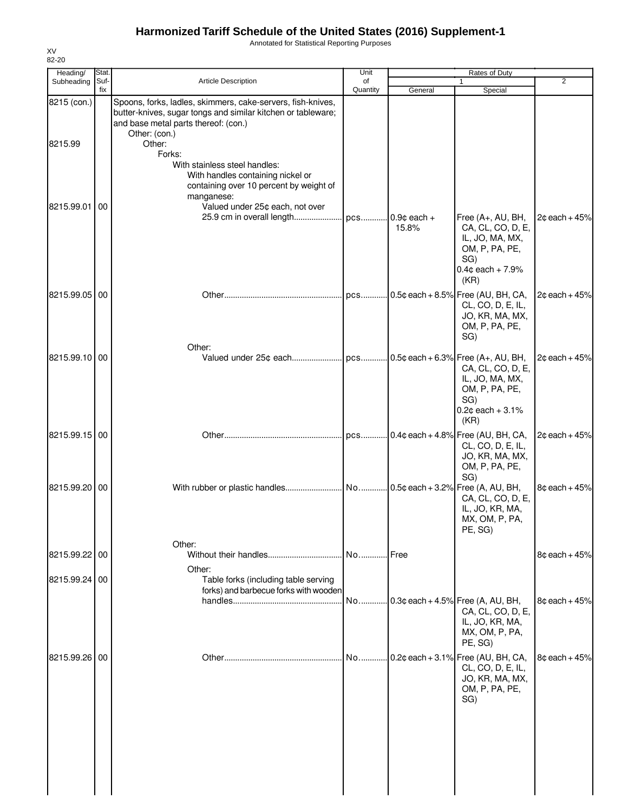Annotated for Statistical Reporting Purposes

| Heading/      | Stat.       |                                                                                                                                                                                      | Unit           |                          | Rates of Duty                                                                                                     |                 |
|---------------|-------------|--------------------------------------------------------------------------------------------------------------------------------------------------------------------------------------|----------------|--------------------------|-------------------------------------------------------------------------------------------------------------------|-----------------|
| Subheading    | Suf-<br>fix | <b>Article Description</b>                                                                                                                                                           | of<br>Quantity | General                  | $\mathbf{1}$<br>Special                                                                                           | 2               |
| 8215 (con.)   |             | Spoons, forks, ladles, skimmers, cake-servers, fish-knives,<br>butter-knives, sugar tongs and similar kitchen or tableware;<br>and base metal parts thereof: (con.)<br>Other: (con.) |                |                          |                                                                                                                   |                 |
| 8215.99       |             | Other:<br>Forks:                                                                                                                                                                     |                |                          |                                                                                                                   |                 |
|               |             | With stainless steel handles:<br>With handles containing nickel or<br>containing over 10 percent by weight of<br>manganese:                                                          |                |                          |                                                                                                                   |                 |
| 8215.99.01 00 |             | Valued under 25¢ each, not over<br>25.9 cm in overall length                                                                                                                         |                | pcs 0.9¢ each +<br>15.8% | Free (A+, AU, BH,<br>CA, CL, CO, D, E,<br>IL, JO, MA, MX,<br>OM, P, PA, PE,<br>SG)<br>$0.4$ ¢ each + 7.9%<br>(KR) | $2¢$ each + 45% |
| 8215.99.05 00 |             | Other:                                                                                                                                                                               |                |                          | pcs 0.5¢ each + 8.5% Free (AU, BH, CA,<br>CL, CO, D, E, IL,<br>JO, KR, MA, MX,<br>OM, P, PA, PE,<br>SG)           | $2¢$ each + 45% |
| 8215.99.10 00 |             |                                                                                                                                                                                      |                |                          | CA, CL, CO, D, E,<br>IL, JO, MA, MX,<br>OM, P, PA, PE,<br>SG)<br>$0.2$ ¢ each + 3.1%<br>(KR)                      | $2¢$ each + 45% |
| 8215.99.15 00 |             |                                                                                                                                                                                      |                |                          | pcs 0.4¢ each + 4.8% Free (AU, BH, CA,<br>CL, CO, D, E, IL,<br>JO, KR, MA, MX,<br>OM, P, PA, PE,<br>SG)           | $2¢$ each + 45% |
| 8215.99.20 00 |             |                                                                                                                                                                                      |                |                          | CA, CL, CO, D, E,<br>IL, JO, KR, MA,<br>MX, OM, P, PA,<br>PE, SG)                                                 | $8¢$ each + 45% |
| 8215.99.22 00 |             | Other:                                                                                                                                                                               | No Free        |                          |                                                                                                                   | $8¢$ each + 45% |
| 8215.99.24 00 |             | Other:<br>Table forks (including table serving<br>forks) and barbecue forks with wooden                                                                                              |                |                          |                                                                                                                   |                 |
|               |             |                                                                                                                                                                                      | No             |                          | $0.3$ ¢ each + 4.5% Free (A, AU, BH,<br>CA, CL, CO, D, E,<br>IL, JO, KR, MA,<br>MX, OM, P, PA,<br>PE, SG)         | $8¢$ each + 45% |
| 8215.99.26 00 |             |                                                                                                                                                                                      |                |                          | No 0.2¢ each + 3.1% Free (AU, BH, CA,<br>CL, CO, D, E, IL,<br>JO, KR, MA, MX,<br>OM, P, PA, PE,<br>SG)            | $8¢$ each + 45% |
|               |             |                                                                                                                                                                                      |                |                          |                                                                                                                   |                 |